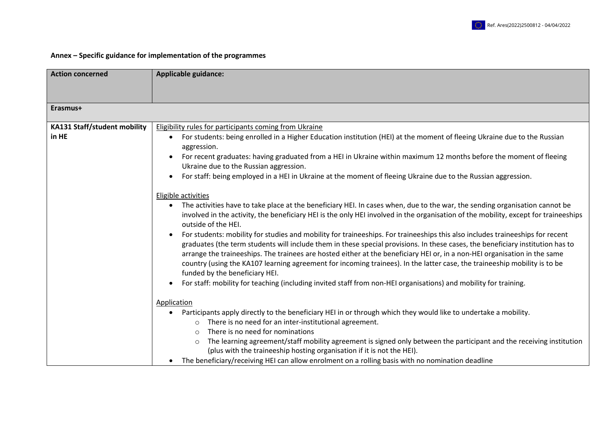

## **Annex – Specific guidance for implementation of the programmes**

| <b>Action concerned</b>      | <b>Applicable guidance:</b>                                                                                                                                                                                                                                                                                                                                                                                                                                                                                                                                 |
|------------------------------|-------------------------------------------------------------------------------------------------------------------------------------------------------------------------------------------------------------------------------------------------------------------------------------------------------------------------------------------------------------------------------------------------------------------------------------------------------------------------------------------------------------------------------------------------------------|
|                              |                                                                                                                                                                                                                                                                                                                                                                                                                                                                                                                                                             |
|                              |                                                                                                                                                                                                                                                                                                                                                                                                                                                                                                                                                             |
| Erasmus+                     |                                                                                                                                                                                                                                                                                                                                                                                                                                                                                                                                                             |
| KA131 Staff/student mobility | <b>Eligibility rules for participants coming from Ukraine</b>                                                                                                                                                                                                                                                                                                                                                                                                                                                                                               |
| in HE                        | For students: being enrolled in a Higher Education institution (HEI) at the moment of fleeing Ukraine due to the Russian<br>aggression.                                                                                                                                                                                                                                                                                                                                                                                                                     |
|                              | For recent graduates: having graduated from a HEI in Ukraine within maximum 12 months before the moment of fleeing<br>Ukraine due to the Russian aggression.                                                                                                                                                                                                                                                                                                                                                                                                |
|                              | For staff: being employed in a HEI in Ukraine at the moment of fleeing Ukraine due to the Russian aggression.                                                                                                                                                                                                                                                                                                                                                                                                                                               |
|                              | Eligible activities                                                                                                                                                                                                                                                                                                                                                                                                                                                                                                                                         |
|                              | The activities have to take place at the beneficiary HEI. In cases when, due to the war, the sending organisation cannot be<br>involved in the activity, the beneficiary HEI is the only HEI involved in the organisation of the mobility, except for traineeships<br>outside of the HEI.                                                                                                                                                                                                                                                                   |
|                              | For students: mobility for studies and mobility for traineeships. For traineeships this also includes traineeships for recent<br>graduates (the term students will include them in these special provisions. In these cases, the beneficiary institution has to<br>arrange the traineeships. The trainees are hosted either at the beneficiary HEI or, in a non-HEI organisation in the same<br>country (using the KA107 learning agreement for incoming trainees). In the latter case, the traineeship mobility is to be<br>funded by the beneficiary HEI. |
|                              | For staff: mobility for teaching (including invited staff from non-HEI organisations) and mobility for training.                                                                                                                                                                                                                                                                                                                                                                                                                                            |
|                              | Application                                                                                                                                                                                                                                                                                                                                                                                                                                                                                                                                                 |
|                              | Participants apply directly to the beneficiary HEI in or through which they would like to undertake a mobility.<br>There is no need for an inter-institutional agreement.<br>$\circ$                                                                                                                                                                                                                                                                                                                                                                        |
|                              | There is no need for nominations<br>$\circ$                                                                                                                                                                                                                                                                                                                                                                                                                                                                                                                 |
|                              | The learning agreement/staff mobility agreement is signed only between the participant and the receiving institution<br>$\circ$<br>(plus with the traineeship hosting organisation if it is not the HEI).                                                                                                                                                                                                                                                                                                                                                   |
|                              | The beneficiary/receiving HEI can allow enrolment on a rolling basis with no nomination deadline                                                                                                                                                                                                                                                                                                                                                                                                                                                            |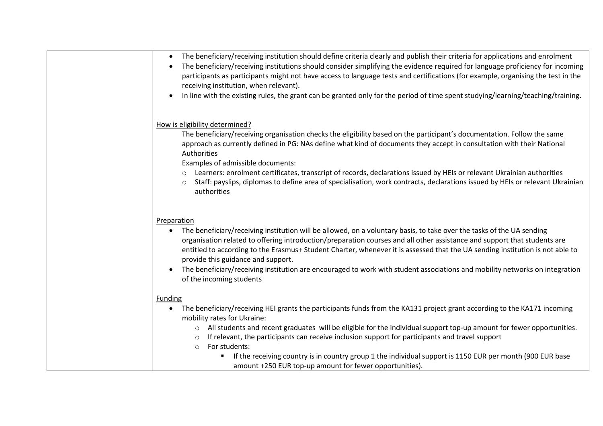| The beneficiary/receiving institution should define criteria clearly and publish their criteria for applications and enrolment<br>$\bullet$<br>The beneficiary/receiving institutions should consider simplifying the evidence required for language proficiency for incoming<br>$\bullet$<br>participants as participants might not have access to language tests and certifications (for example, organising the test in the<br>receiving institution, when relevant).<br>In line with the existing rules, the grant can be granted only for the period of time spent studying/learning/teaching/training.                                                  |
|---------------------------------------------------------------------------------------------------------------------------------------------------------------------------------------------------------------------------------------------------------------------------------------------------------------------------------------------------------------------------------------------------------------------------------------------------------------------------------------------------------------------------------------------------------------------------------------------------------------------------------------------------------------|
| How is eligibility determined?<br>The beneficiary/receiving organisation checks the eligibility based on the participant's documentation. Follow the same<br>approach as currently defined in PG: NAs define what kind of documents they accept in consultation with their National<br>Authorities<br>Examples of admissible documents:<br>Learners: enrolment certificates, transcript of records, declarations issued by HEIs or relevant Ukrainian authorities<br>$\circ$<br>Staff: payslips, diplomas to define area of specialisation, work contracts, declarations issued by HEIs or relevant Ukrainian<br>$\circ$<br>authorities                       |
| Preparation<br>The beneficiary/receiving institution will be allowed, on a voluntary basis, to take over the tasks of the UA sending<br>$\bullet$<br>organisation related to offering introduction/preparation courses and all other assistance and support that students are<br>entitled to according to the Erasmus+ Student Charter, whenever it is assessed that the UA sending institution is not able to<br>provide this guidance and support.<br>The beneficiary/receiving institution are encouraged to work with student associations and mobility networks on integration<br>of the incoming students                                               |
| <b>Funding</b><br>The beneficiary/receiving HEI grants the participants funds from the KA131 project grant according to the KA171 incoming<br>$\bullet$<br>mobility rates for Ukraine:<br>All students and recent graduates will be eligible for the individual support top-up amount for fewer opportunities.<br>$\circ$<br>If relevant, the participants can receive inclusion support for participants and travel support<br>$\circ$<br>For students:<br>$\circ$<br>If the receiving country is in country group 1 the individual support is 1150 EUR per month (900 EUR base<br>$\blacksquare$<br>amount +250 EUR top-up amount for fewer opportunities). |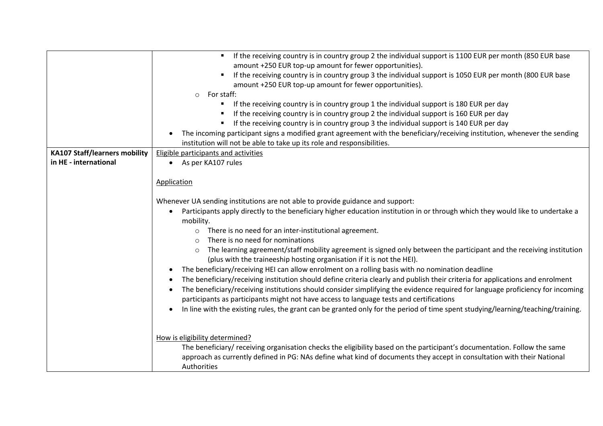|                                      | If the receiving country is in country group 2 the individual support is 1100 EUR per month (850 EUR base<br>$\blacksquare$ .               |
|--------------------------------------|---------------------------------------------------------------------------------------------------------------------------------------------|
|                                      | amount +250 EUR top-up amount for fewer opportunities).                                                                                     |
|                                      | If the receiving country is in country group 3 the individual support is 1050 EUR per month (800 EUR base                                   |
|                                      | amount +250 EUR top-up amount for fewer opportunities).                                                                                     |
|                                      | For staff:<br>$\circ$                                                                                                                       |
|                                      | If the receiving country is in country group 1 the individual support is 180 EUR per day                                                    |
|                                      | If the receiving country is in country group 2 the individual support is 160 EUR per day                                                    |
|                                      | If the receiving country is in country group 3 the individual support is 140 EUR per day                                                    |
|                                      | The incoming participant signs a modified grant agreement with the beneficiary/receiving institution, whenever the sending                  |
|                                      | institution will not be able to take up its role and responsibilities.                                                                      |
| <b>KA107 Staff/learners mobility</b> | Eligible participants and activities                                                                                                        |
| in HE - international                | As per KA107 rules                                                                                                                          |
|                                      |                                                                                                                                             |
|                                      | Application                                                                                                                                 |
|                                      |                                                                                                                                             |
|                                      | Whenever UA sending institutions are not able to provide guidance and support:                                                              |
|                                      | Participants apply directly to the beneficiary higher education institution in or through which they would like to undertake a<br>$\bullet$ |
|                                      | mobility.                                                                                                                                   |
|                                      | There is no need for an inter-institutional agreement.<br>$\circ$                                                                           |
|                                      | There is no need for nominations<br>$\Omega$                                                                                                |
|                                      | The learning agreement/staff mobility agreement is signed only between the participant and the receiving institution<br>$\circ$             |
|                                      | (plus with the traineeship hosting organisation if it is not the HEI).                                                                      |
|                                      | The beneficiary/receiving HEI can allow enrolment on a rolling basis with no nomination deadline                                            |
|                                      | The beneficiary/receiving institution should define criteria clearly and publish their criteria for applications and enrolment              |
|                                      | The beneficiary/receiving institutions should consider simplifying the evidence required for language proficiency for incoming              |
|                                      |                                                                                                                                             |
|                                      | participants as participants might not have access to language tests and certifications                                                     |
|                                      | In line with the existing rules, the grant can be granted only for the period of time spent studying/learning/teaching/training.            |
|                                      |                                                                                                                                             |
|                                      |                                                                                                                                             |
|                                      | How is eligibility determined?                                                                                                              |
|                                      | The beneficiary/ receiving organisation checks the eligibility based on the participant's documentation. Follow the same                    |
|                                      | approach as currently defined in PG: NAs define what kind of documents they accept in consultation with their National                      |
|                                      | Authorities                                                                                                                                 |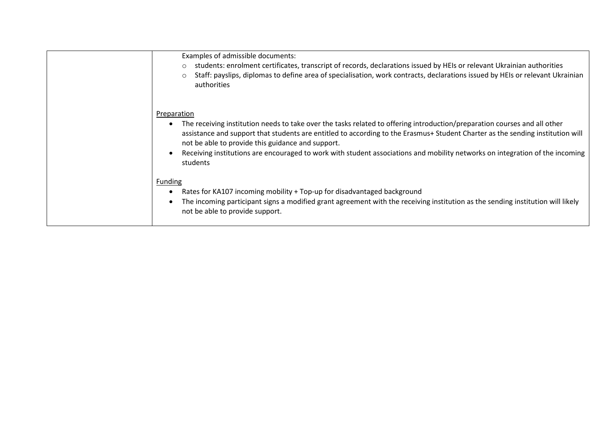| Examples of admissible documents:<br>students: enrolment certificates, transcript of records, declarations issued by HEIs or relevant Ukrainian authorities<br>$\circ$<br>Staff: payslips, diplomas to define area of specialisation, work contracts, declarations issued by HEIs or relevant Ukrainian<br>$\circ$<br>authorities                                                                                                                                           |
|-----------------------------------------------------------------------------------------------------------------------------------------------------------------------------------------------------------------------------------------------------------------------------------------------------------------------------------------------------------------------------------------------------------------------------------------------------------------------------|
| Preparation<br>The receiving institution needs to take over the tasks related to offering introduction/preparation courses and all other<br>assistance and support that students are entitled to according to the Erasmus+ Student Charter as the sending institution will<br>not be able to provide this guidance and support.<br>Receiving institutions are encouraged to work with student associations and mobility networks on integration of the incoming<br>students |
| <b>Funding</b><br>Rates for KA107 incoming mobility + Top-up for disadvantaged background<br>The incoming participant signs a modified grant agreement with the receiving institution as the sending institution will likely<br>not be able to provide support.                                                                                                                                                                                                             |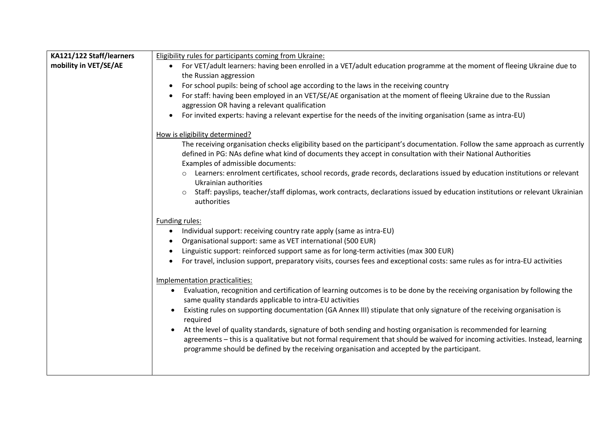| KA121/122 Staff/learners | <b>Eligibility rules for participants coming from Ukraine:</b>                                                                                                                                                                                                                                                                                         |
|--------------------------|--------------------------------------------------------------------------------------------------------------------------------------------------------------------------------------------------------------------------------------------------------------------------------------------------------------------------------------------------------|
| mobility in VET/SE/AE    | For VET/adult learners: having been enrolled in a VET/adult education programme at the moment of fleeing Ukraine due to<br>$\bullet$                                                                                                                                                                                                                   |
|                          | the Russian aggression                                                                                                                                                                                                                                                                                                                                 |
|                          | For school pupils: being of school age according to the laws in the receiving country<br>$\bullet$                                                                                                                                                                                                                                                     |
|                          | For staff: having been employed in an VET/SE/AE organisation at the moment of fleeing Ukraine due to the Russian                                                                                                                                                                                                                                       |
|                          | aggression OR having a relevant qualification                                                                                                                                                                                                                                                                                                          |
|                          | For invited experts: having a relevant expertise for the needs of the inviting organisation (same as intra-EU)<br>$\bullet$                                                                                                                                                                                                                            |
|                          | How is eligibility determined?                                                                                                                                                                                                                                                                                                                         |
|                          | The receiving organisation checks eligibility based on the participant's documentation. Follow the same approach as currently<br>defined in PG: NAs define what kind of documents they accept in consultation with their National Authorities<br>Examples of admissible documents:                                                                     |
|                          | o Learners: enrolment certificates, school records, grade records, declarations issued by education institutions or relevant<br>Ukrainian authorities                                                                                                                                                                                                  |
|                          | Staff: payslips, teacher/staff diplomas, work contracts, declarations issued by education institutions or relevant Ukrainian<br>authorities                                                                                                                                                                                                            |
|                          | Funding rules:                                                                                                                                                                                                                                                                                                                                         |
|                          | Individual support: receiving country rate apply (same as intra-EU)<br>$\bullet$                                                                                                                                                                                                                                                                       |
|                          | Organisational support: same as VET international (500 EUR)                                                                                                                                                                                                                                                                                            |
|                          | Linguistic support: reinforced support same as for long-term activities (max 300 EUR)                                                                                                                                                                                                                                                                  |
|                          | For travel, inclusion support, preparatory visits, courses fees and exceptional costs: same rules as for intra-EU activities<br>$\bullet$                                                                                                                                                                                                              |
|                          | Implementation practicalities:                                                                                                                                                                                                                                                                                                                         |
|                          | Evaluation, recognition and certification of learning outcomes is to be done by the receiving organisation by following the<br>$\bullet$<br>same quality standards applicable to intra-EU activities                                                                                                                                                   |
|                          | Existing rules on supporting documentation (GA Annex III) stipulate that only signature of the receiving organisation is<br>required                                                                                                                                                                                                                   |
|                          | At the level of quality standards, signature of both sending and hosting organisation is recommended for learning<br>٠<br>agreements - this is a qualitative but not formal requirement that should be waived for incoming activities. Instead, learning<br>programme should be defined by the receiving organisation and accepted by the participant. |
|                          |                                                                                                                                                                                                                                                                                                                                                        |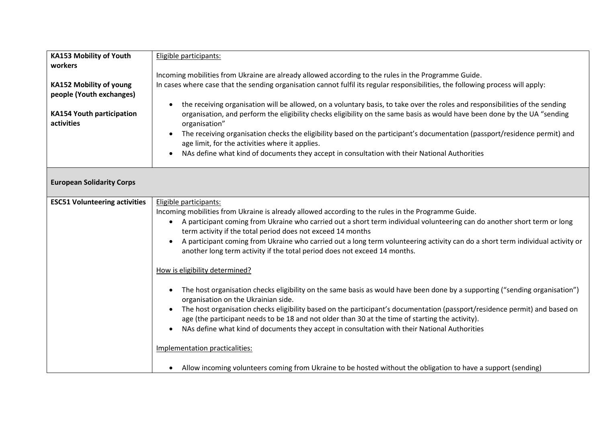| <b>KA153 Mobility of Youth</b>       | Eligible participants:                                                                                                                    |
|--------------------------------------|-------------------------------------------------------------------------------------------------------------------------------------------|
| workers                              |                                                                                                                                           |
|                                      | Incoming mobilities from Ukraine are already allowed according to the rules in the Programme Guide.                                       |
| <b>KA152 Mobility of young</b>       | In cases where case that the sending organisation cannot fulfil its regular responsibilities, the following process will apply:           |
| people (Youth exchanges)             |                                                                                                                                           |
|                                      | the receiving organisation will be allowed, on a voluntary basis, to take over the roles and responsibilities of the sending<br>$\bullet$ |
| <b>KA154 Youth participation</b>     | organisation, and perform the eligibility checks eligibility on the same basis as would have been done by the UA "sending                 |
| activities                           | organisation"                                                                                                                             |
|                                      | The receiving organisation checks the eligibility based on the participant's documentation (passport/residence permit) and                |
|                                      | age limit, for the activities where it applies.                                                                                           |
|                                      | NAs define what kind of documents they accept in consultation with their National Authorities                                             |
|                                      |                                                                                                                                           |
|                                      |                                                                                                                                           |
| <b>European Solidarity Corps</b>     |                                                                                                                                           |
| <b>ESC51 Volunteering activities</b> | Eligible participants:                                                                                                                    |
|                                      | Incoming mobilities from Ukraine is already allowed according to the rules in the Programme Guide.                                        |
|                                      | A participant coming from Ukraine who carried out a short term individual volunteering can do another short term or long<br>$\bullet$     |
|                                      | term activity if the total period does not exceed 14 months                                                                               |
|                                      | A participant coming from Ukraine who carried out a long term volunteering activity can do a short term individual activity or            |
|                                      | another long term activity if the total period does not exceed 14 months.                                                                 |
|                                      |                                                                                                                                           |
|                                      | How is eligibility determined?                                                                                                            |
|                                      |                                                                                                                                           |
|                                      | The host organisation checks eligibility on the same basis as would have been done by a supporting ("sending organisation")               |
|                                      | organisation on the Ukrainian side.                                                                                                       |
|                                      | The host organisation checks eligibility based on the participant's documentation (passport/residence permit) and based on                |
|                                      | age (the participant needs to be 18 and not older than 30 at the time of starting the activity).                                          |
|                                      | NAs define what kind of documents they accept in consultation with their National Authorities<br>$\bullet$                                |
|                                      |                                                                                                                                           |
|                                      | Implementation practicalities:                                                                                                            |
|                                      |                                                                                                                                           |
|                                      | Allow incoming volunteers coming from Ukraine to be hosted without the obligation to have a support (sending)                             |